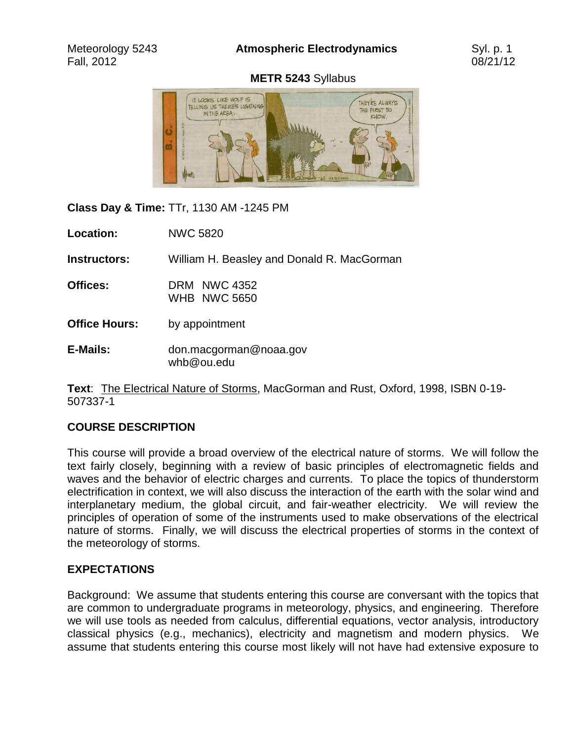## Meteorology 5243 **Atmospheric Electrodynamics** Syl. p. 1

## **METR 5243** Syllabus



**Class Day & Time:** TTr, 1130 AM -1245 PM

**Location:** NWC 5820

**Instructors:** William H. Beasley and Donald R. MacGorman

**Offices:** DRM NWC 4352 WHB NWC 5650

**Office Hours:** by appointment

**E-Mails:** don.macgorman@noaa.gov whb@ou.edu

**Text**: The Electrical Nature of Storms, MacGorman and Rust, Oxford, 1998, ISBN 0-19- 507337-1

# **COURSE DESCRIPTION**

This course will provide a broad overview of the electrical nature of storms. We will follow the text fairly closely, beginning with a review of basic principles of electromagnetic fields and waves and the behavior of electric charges and currents. To place the topics of thunderstorm electrification in context, we will also discuss the interaction of the earth with the solar wind and interplanetary medium, the global circuit, and fair-weather electricity. We will review the principles of operation of some of the instruments used to make observations of the electrical nature of storms. Finally, we will discuss the electrical properties of storms in the context of the meteorology of storms.

## **EXPECTATIONS**

Background: We assume that students entering this course are conversant with the topics that are common to undergraduate programs in meteorology, physics, and engineering. Therefore we will use tools as needed from calculus, differential equations, vector analysis, introductory classical physics (e.g., mechanics), electricity and magnetism and modern physics. We assume that students entering this course most likely will not have had extensive exposure to